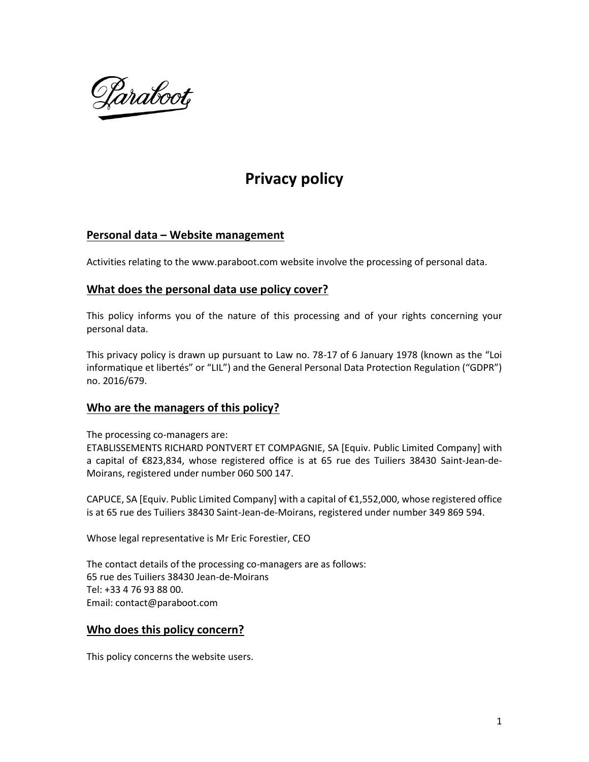

# **Privacy policy**

# **Personal data – Website management**

Activities relating to the www.paraboot.com website involve the processing of personal data.

# **What does the personal data use policy cover?**

This policy informs you of the nature of this processing and of your rights concerning your personal data.

This privacy policy is drawn up pursuant to Law no. 78-17 of 6 January 1978 (known as the "Loi informatique et libertés" or "LIL") and the General Personal Data Protection Regulation ("GDPR") no. 2016/679.

# **Who are the managers of this policy?**

The processing co-managers are:

ETABLISSEMENTS RICHARD PONTVERT ET COMPAGNIE, SA [Equiv. Public Limited Company] with a capital of €823,834, whose registered office is at 65 rue des Tuiliers 38430 Saint-Jean-de-Moirans, registered under number 060 500 147.

CAPUCE, SA [Equiv. Public Limited Company] with a capital of €1,552,000, whose registered office is at 65 rue des Tuiliers 38430 Saint-Jean-de-Moirans, registered under number 349 869 594.

Whose legal representative is Mr Eric Forestier, CEO

The contact details of the processing co-managers are as follows: 65 rue des Tuiliers 38430 Jean-de-Moirans Tel: +33 4 76 93 88 00. Email: contact@paraboot.com

# **Who does this policy concern?**

This policy concerns the website users.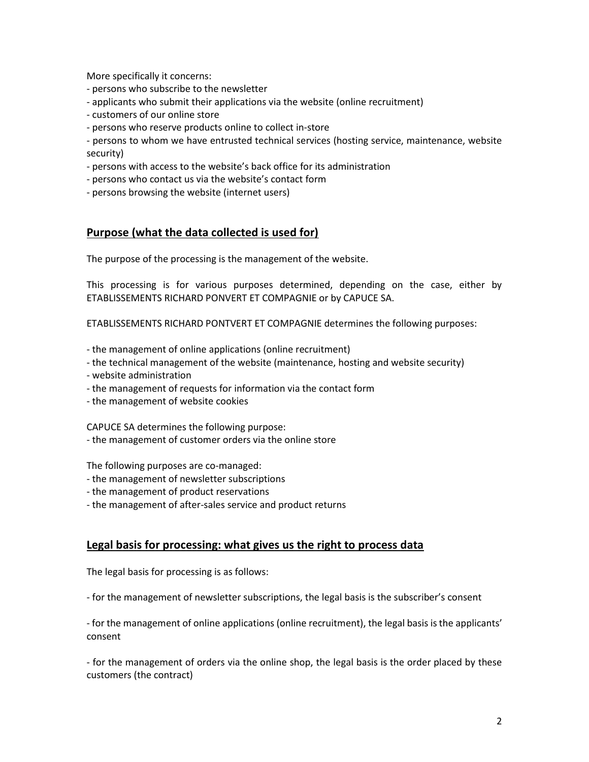More specifically it concerns:

- persons who subscribe to the newsletter
- applicants who submit their applications via the website (online recruitment)
- customers of our online store
- persons who reserve products online to collect in-store

- persons to whom we have entrusted technical services (hosting service, maintenance, website security)

- persons with access to the website's back office for its administration
- persons who contact us via the website's contact form
- persons browsing the website (internet users)

# **Purpose (what the data collected is used for)**

The purpose of the processing is the management of the website.

This processing is for various purposes determined, depending on the case, either by ETABLISSEMENTS RICHARD PONVERT ET COMPAGNIE or by CAPUCE SA.

ETABLISSEMENTS RICHARD PONTVERT ET COMPAGNIE determines the following purposes:

- the management of online applications (online recruitment)
- the technical management of the website (maintenance, hosting and website security)
- website administration
- the management of requests for information via the contact form
- the management of website cookies

CAPUCE SA determines the following purpose: - the management of customer orders via the online store

The following purposes are co-managed:

- the management of newsletter subscriptions
- the management of product reservations
- the management of after-sales service and product returns

#### **Legal basis for processing: what gives us the right to process data**

The legal basis for processing is as follows:

- for the management of newsletter subscriptions, the legal basis is the subscriber's consent

- for the management of online applications (online recruitment), the legal basis is the applicants' consent

- for the management of orders via the online shop, the legal basis is the order placed by these customers (the contract)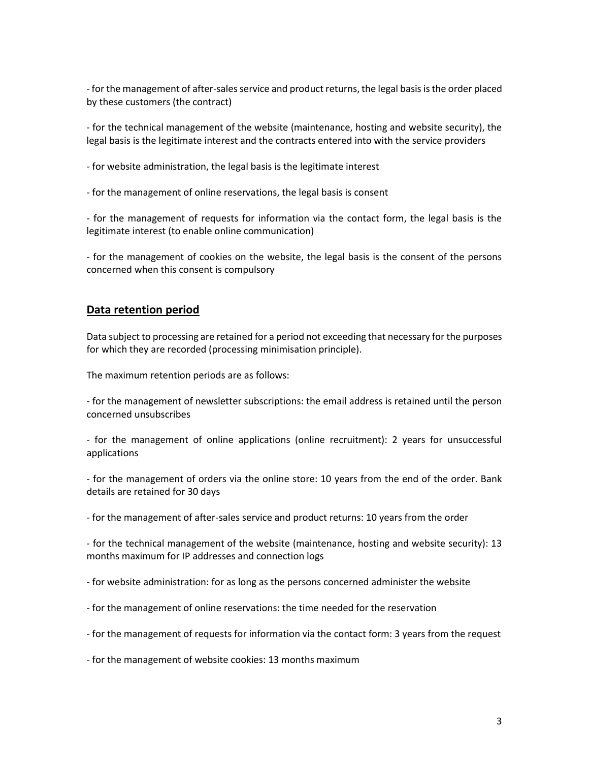- for the management of after-sales service and product returns, the legal basis is the order placed by these customers (the contract)

- for the technical management of the website (maintenance, hosting and website security), the legal basis is the legitimate interest and the contracts entered into with the service providers

- for website administration, the legal basis is the legitimate interest

- for the management of online reservations, the legal basis is consent

- for the management of requests for information via the contact form, the legal basis is the legitimate interest (to enable online communication)

- for the management of cookies on the website, the legal basis is the consent of the persons concerned when this consent is compulsory

#### **Data retention period**

Data subject to processing are retained for a period not exceeding that necessary for the purposes for which they are recorded (processing minimisation principle).

The maximum retention periods are as follows:

- for the management of newsletter subscriptions: the email address is retained until the person concerned unsubscribes

- for the management of online applications (online recruitment): 2 years for unsuccessful applications

- for the management of orders via the online store: 10 years from the end of the order. Bank details are retained for 30 days

- for the management of after-sales service and product returns: 10 years from the order

- for the technical management of the website (maintenance, hosting and website security): 13 months maximum for IP addresses and connection logs

- for website administration: for as long as the persons concerned administer the website

- for the management of online reservations: the time needed for the reservation
- for the management of requests for information via the contact form: 3 years from the request

- for the management of website cookies: 13 months maximum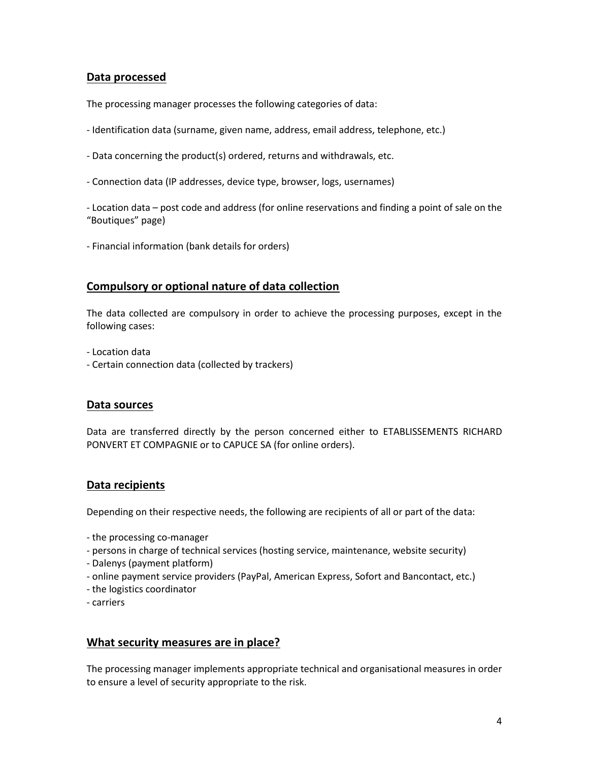# **Data processed**

The processing manager processes the following categories of data:

- Identification data (surname, given name, address, email address, telephone, etc.)
- Data concerning the product(s) ordered, returns and withdrawals, etc.
- Connection data (IP addresses, device type, browser, logs, usernames)
- Location data post code and address (for online reservations and finding a point of sale on the "Boutiques" page)
- Financial information (bank details for orders)

# **Compulsory or optional nature of data collection**

The data collected are compulsory in order to achieve the processing purposes, except in the following cases:

- Location data

- Certain connection data (collected by trackers)

#### **Data sources**

Data are transferred directly by the person concerned either to ETABLISSEMENTS RICHARD PONVERT ET COMPAGNIE or to CAPUCE SA (for online orders).

#### **Data recipients**

Depending on their respective needs, the following are recipients of all or part of the data:

- the processing co-manager
- persons in charge of technical services (hosting service, maintenance, website security)
- Dalenys (payment platform)
- online payment service providers (PayPal, American Express, Sofort and Bancontact, etc.)
- the logistics coordinator
- carriers

#### **What security measures are in place?**

The processing manager implements appropriate technical and organisational measures in order to ensure a level of security appropriate to the risk.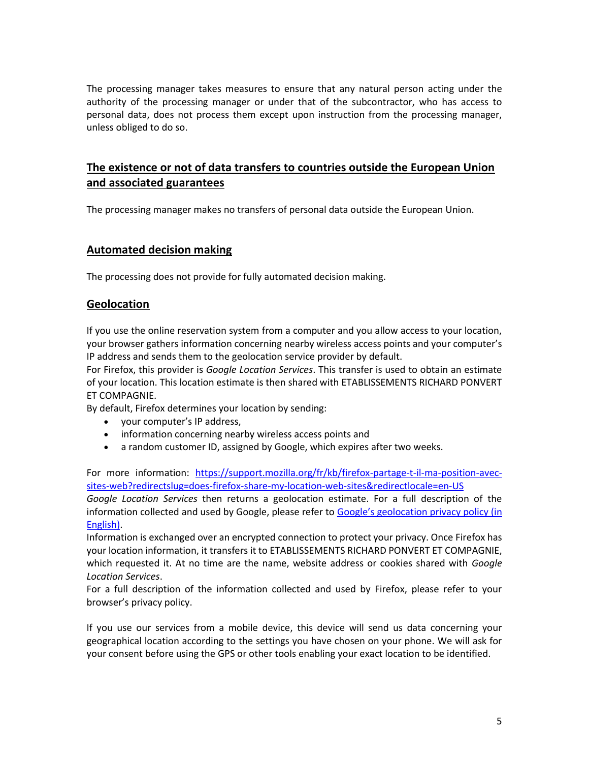The processing manager takes measures to ensure that any natural person acting under the authority of the processing manager or under that of the subcontractor, who has access to personal data, does not process them except upon instruction from the processing manager, unless obliged to do so.

# **The existence or not of data transfers to countries outside the European Union and associated guarantees**

The processing manager makes no transfers of personal data outside the European Union.

# **Automated decision making**

The processing does not provide for fully automated decision making.

# **Geolocation**

If you use the online reservation system from a computer and you allow access to your location, your browser gathers information concerning nearby wireless access points and your computer's IP address and sends them to the geolocation service provider by default.

For Firefox, this provider is *Google Location Services*. This transfer is used to obtain an estimate of your location. This location estimate is then shared with ETABLISSEMENTS RICHARD PONVERT ET COMPAGNIE.

By default, Firefox determines your location by sending:

- your computer's IP address,
- information concerning nearby wireless access points and
- a random customer ID, assigned by Google, which expires after two weeks.

For more information: [https://support.mozilla.org/fr/kb/firefox-partage-t-il-ma-position-avec](https://support.mozilla.org/fr/kb/firefox-partage-t-il-ma-position-avec-sites-web?redirectslug=does-firefox-share-my-location-web-sites&amp;redirectlocale=en-US)[sites-web?redirectslug=does-firefox-share-my-location-web-sites&redirectlocale=en-US](https://support.mozilla.org/fr/kb/firefox-partage-t-il-ma-position-avec-sites-web?redirectslug=does-firefox-share-my-location-web-sites&amp;redirectlocale=en-US)

*Google Location Services* then returns a geolocation estimate. For a full description of the information collected and used by Google, please refer to Google's geolocation privacy policy (in [English\).](https://www.google.com/privacy/lsf.html)

Information is exchanged over an encrypted connection to protect your privacy. Once Firefox has your location information, it transfers it to ETABLISSEMENTS RICHARD PONVERT ET COMPAGNIE, which requested it. At no time are the name, website address or cookies shared with *Google Location Services*.

For a full description of the information collected and used by Firefox, please refer to your browser's privacy policy.

If you use our services from a mobile device, this device will send us data concerning your geographical location according to the settings you have chosen on your phone. We will ask for your consent before using the GPS or other tools enabling your exact location to be identified.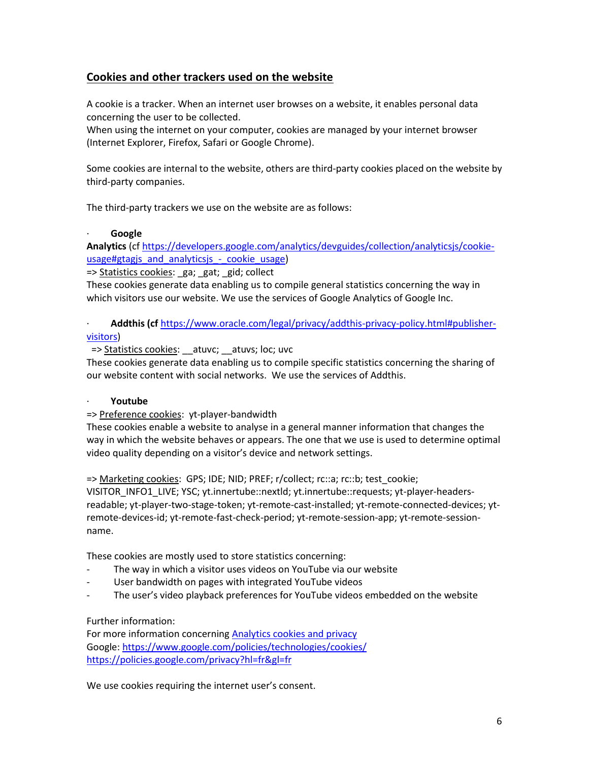# **Cookies and other trackers used on the website**

A cookie is a tracker. When an internet user browses on a website, it enables personal data concerning the user to be collected.

When using the internet on your computer, cookies are managed by your internet browser (Internet Explorer, Firefox, Safari or Google Chrome).

Some cookies are internal to the website, others are third-party cookies placed on the website by third-party companies.

The third-party trackers we use on the website are as follows:

#### · **Google**

**Analytics** (cf [https://developers.google.com/analytics/devguides/collection/analyticsjs/cookie](https://developers.google.com/analytics/devguides/collection/analyticsjs/cookie-usage#gtagjs_and_analyticsjs_-_cookie_usage)usage#gtagjs\_and\_analyticsjs - cookie\_usage)

=> Statistics cookies: ga; gat; gid; collect

These cookies generate data enabling us to compile general statistics concerning the way in which visitors use our website. We use the services of Google Analytics of Google Inc.

· **Addthis (cf** [https://www.oracle.com/legal/privacy/addthis-privacy-policy.html#publisher](https://www.oracle.com/legal/privacy/addthis-privacy-policy.html#publisher-visitors)[visitors\)](https://www.oracle.com/legal/privacy/addthis-privacy-policy.html#publisher-visitors)

=> Statistics cookies: \_\_atuvc; \_\_atuvs; loc; uvc

These cookies generate data enabling us to compile specific statistics concerning the sharing of our website content with social networks. We use the services of Addthis.

#### · **Youtube**

#### => Preference cookies: yt-player-bandwidth

These cookies enable a website to analyse in a general manner information that changes the way in which the website behaves or appears. The one that we use is used to determine optimal video quality depending on a visitor's device and network settings.

=> Marketing cookies: GPS; IDE; NID; PREF; r/collect; rc::a; rc::b; test\_cookie;

VISITOR\_INFO1\_LIVE; YSC; yt.innertube::nextld; yt.innertube::requests; yt-player-headersreadable; yt-player-two-stage-token; yt-remote-cast-installed; yt-remote-connected-devices; ytremote-devices-id; yt-remote-fast-check-period; yt-remote-session-app; yt-remote-sessionname.

These cookies are mostly used to store statistics concerning:

- The way in which a visitor uses videos on YouTube via our website
- User bandwidth on pages with integrated YouTube videos
- The user's video playback preferences for YouTube videos embedded on the website

# Further information:

For more information concerning [Analytics cookies and privacy](https://developers.google.com/analytics/devguides/collection/analyticsjs/cookie-usage?hl=fr) Google:<https://www.google.com/policies/technologies/cookies/> [https://policies.google.com/privacy?hl=fr&gl=fr](https://policies.google.com/privacy?hl=fr&amp;gl=fr)

We use cookies requiring the internet user's consent.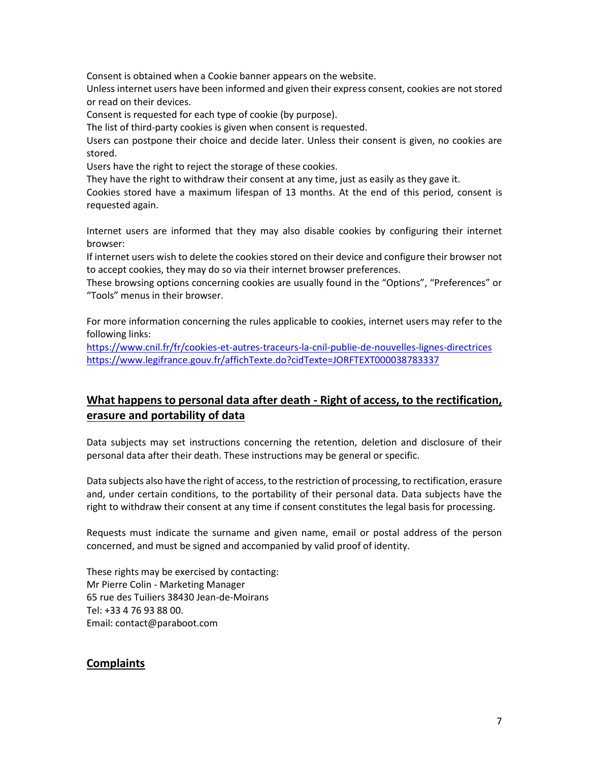Consent is obtained when a Cookie banner appears on the website.

Unless internet users have been informed and given their express consent, cookies are not stored or read on their devices.

Consent is requested for each type of cookie (by purpose).

The list of third-party cookies is given when consent is requested.

Users can postpone their choice and decide later. Unless their consent is given, no cookies are stored.

Users have the right to reject the storage of these cookies.

They have the right to withdraw their consent at any time, just as easily as they gave it.

Cookies stored have a maximum lifespan of 13 months. At the end of this period, consent is requested again.

Internet users are informed that they may also disable cookies by configuring their internet browser:

If internet users wish to delete the cookies stored on their device and configure their browser not to accept cookies, they may do so via their internet browser preferences.

These browsing options concerning cookies are usually found in the "Options", "Preferences" or "Tools" menus in their browser.

For more information concerning the rules applicable to cookies, internet users may refer to the following links:

<https://www.cnil.fr/fr/cookies-et-autres-traceurs-la-cnil-publie-de-nouvelles-lignes-directrices> <https://www.legifrance.gouv.fr/affichTexte.do?cidTexte=JORFTEXT000038783337>

# **What happens to personal data after death - Right of access, to the rectification, erasure and portability of data**

Data subjects may set instructions concerning the retention, deletion and disclosure of their personal data after their death. These instructions may be general or specific.

Data subjects also have the right of access, to the restriction of processing, to rectification, erasure and, under certain conditions, to the portability of their personal data. Data subjects have the right to withdraw their consent at any time if consent constitutes the legal basis for processing.

Requests must indicate the surname and given name, email or postal address of the person concerned, and must be signed and accompanied by valid proof of identity.

These rights may be exercised by contacting: Mr Pierre Colin - Marketing Manager 65 rue des Tuiliers 38430 Jean-de-Moirans Tel: +33 4 76 93 88 00. Email: contact@paraboot.com

# **Complaints**